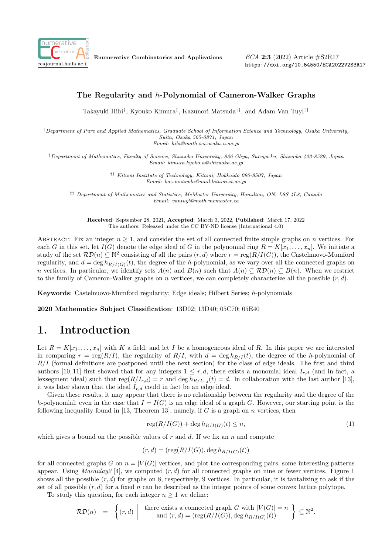

Enumerative Combinatorics and Applications

ECA 2:3 (2022) Article #S2R17 https://doi.org/10.54550/ECA2022V2S3R17

#### The Regularity and h-Polynomial of Cameron-Walker Graphs

Takayuki Hibi<sup>†</sup>, Kyouko Kimura<sup>‡</sup>, Kazunori Matsuda<sup>††</sup>, and Adam Van Tuyl<sup>‡‡</sup>

†Department of Pure and Applied Mathematics, Graduate School of Information Science and Technology, Osaka University, Suita, Osaka 565-0871, Japan Email: hibi@math.sci.osaka-u.ac.jp

‡Department of Mathematics, Faculty of Science, Shizuoka University, 836 Ohya, Suruga-ku, Shizuoka 422-8529, Japan Email: kimura.kyoko.a@shizuoka.ac.jp

> †† Kitami Institute of Technology, Kitami, Hokkaido 090-8507, Japan Email: kaz-matsuda@mail.kitami-it.ac.jp

‡‡ Department of Mathematics and Statistics, McMaster University, Hamilton, ON, L8S 4L8, Canada Email: vantuyl@math.mcmaster.ca

Received: September 28, 2021, Accepted: March 3, 2022, Published: March 17, 2022 The authors: Released under the CC BY-ND license (International 4.0)

ABSTRACT: Fix an integer  $n \geq 1$ , and consider the set of all connected finite simple graphs on n vertices. For each G in this set, let  $I(G)$  denote the edge ideal of G in the polynomial ring  $R = K[x_1, \ldots, x_n]$ . We initiate a study of the set  $R\mathcal{D}(n) \subseteq \mathbb{N}^2$  consisting of all the pairs  $(r, d)$  where  $r = \text{reg}(R/I(G))$ , the Castelnuovo-Mumford regularity, and  $d = \deg h_{R/I(G)}(t)$ , the degree of the h-polynomial, as we vary over all the connected graphs on n vertices. In particular, we identify sets  $A(n)$  and  $B(n)$  such that  $A(n) \subseteq \mathcal{RD}(n) \subseteq B(n)$ . When we restrict to the family of Cameron-Walker graphs on n vertices, we can completely characterize all the possible  $(r, d)$ .

Keywords: Castelnuovo-Mumford regularity; Edge ideals; Hilbert Series; h-polynomials

2020 Mathematics Subject Classification: 13D02; 13D40; 05C70; 05E40

# 1. Introduction

Let  $R = K[x_1, \ldots, x_n]$  with K a field, and let I be a homogeneous ideal of R. In this paper we are interested in comparing  $r = \text{reg}(R/I)$ , the regularity of  $R/I$ , with  $d = \text{deg } h_{R/I}(t)$ , the degree of the h-polynomial of  $R/I$  (formal definitions are postponed until the next section) for the class of edge ideals. The first and third authors [10, 11] first showed that for any integers  $1 \leq r, d$ , there exists a monomial ideal  $I_{r,d}$  (and in fact, a lexsegment ideal) such that  $\text{reg}(R/I_{r,d}) = r$  and  $\text{deg } h_{R/I_{r,d}}(t) = d$ . In collaboration with the last author [13], it was later shown that the ideal  $I_{r,d}$  could in fact be an edge ideal.

Given these results, it may appear that there is no relationship between the regularity and the degree of the h-polynomial, even in the case that  $I = I(G)$  is an edge ideal of a graph G. However, our starting point is the following inequality found in [13, Theorem 13]; namely, if G is a graph on n vertices, then

$$
reg(R/I(G)) + deg h_{R/I(G)}(t) \le n,
$$
\n<sup>(1)</sup>

which gives a bound on the possible values of r and d. If we fix an n and compute

$$
(r,d) = (\text{reg}(R/I(G)), \text{deg } h_{R/I(G)}(t))
$$

for all connected graphs G on  $n = |V(G)|$  vertices, and plot the corresponding pairs, some interesting patterns appear. Using *Macaulay2* [4], we computed  $(r, d)$  for all connected graphs on nine or fewer vertices. Figure 1 shows all the possible  $(r, d)$  for graphs on 8, respectively, 9 vertices. In particular, it is tantalizing to ask if the set of all possible  $(r, d)$  for a fixed n can be described as the integer points of some convex lattice polytope.

To study this question, for each integer  $n \geq 1$  we define:

$$
\mathcal{RD}(n) = \left\{ (r, d) \mid \text{there exists a connected graph } G \text{ with } |V(G)| = n \atop \text{and } (r, d) = (\text{reg}(R/I(G)), \text{deg } h_{R/I(G)}(t)) \right\} \subseteq \mathbb{N}^2.
$$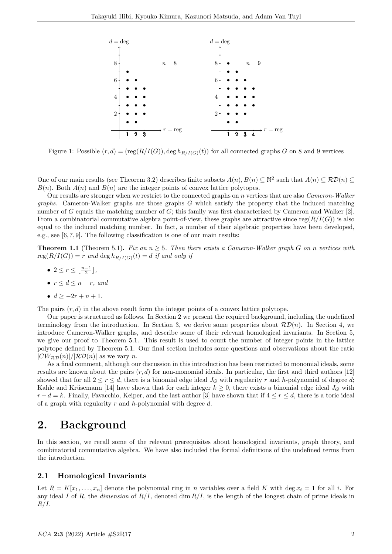

Figure 1: Possible  $(r, d) = (reg(R/I(G)), deg h_{R/I(G)}(t))$  for all connected graphs G on 8 and 9 vertices

One of our main results (see Theorem 3.2) describes finite subsets  $A(n), B(n) \subseteq \mathbb{N}^2$  such that  $A(n) \subseteq \mathcal{RD}(n) \subseteq \mathcal{RD}(n)$  $B(n)$ . Both  $A(n)$  and  $B(n)$  are the integer points of convex lattice polytopes.

Our results are stronger when we restrict to the connected graphs on n vertices that are also Cameron-Walker *graphs.* Cameron-Walker graphs are those graphs  $G$  which satisfy the property that the induced matching number of G equals the matching number of G; this family was first characterized by Cameron and Walker [2]. From a combinatorial commutative algebra point-of-view, these graphs are attractive since reg( $R/I(G)$ ) is also equal to the induced matching number. In fact, a number of their algebraic properties have been developed, e.g., see [6, 7, 9]. The following classification is one of our main results:

**Theorem 1.1** (Theorem 5.1). Fix an  $n \geq 5$ . Then there exists a Cameron-Walker graph G on n vertices with  $reg(R/I(G)) = r$  and  $deg h_{R/I(G)}(t) = d$  if and only if

- $2 \leq r \leq \lfloor \frac{n-1}{2} \rfloor$ ,
- $r \leq d \leq n-r$ , and
- $d > -2r + n + 1$ .

The pairs  $(r, d)$  in the above result form the integer points of a convex lattice polytope.

Our paper is structured as follows. In Section 2 we present the required background, including the undefined terminology from the introduction. In Section 3, we derive some properties about  $\mathcal{RD}(n)$ . In Section 4, we introduce Cameron-Walker graphs, and describe some of their relevant homological invariants. In Section 5, we give our proof to Theorem 5.1. This result is used to count the number of integer points in the lattice polytope defined by Theorem 5.1. Our final section includes some questions and observations about the ratio  $|CW_{\mathcal{RD}}(n)|/|\mathcal{RD}(n)|$  as we vary n.

As a final comment, although our discussion in this introduction has been restricted to monomial ideals, some results are known about the pairs  $(r, d)$  for non-monomial ideals. In particular, the first and third authors [12] showed that for all  $2 \le r \le d$ , there is a binomial edge ideal  $J_G$  with regularity r and h-polynomial of degree d; Kahle and Krüsemann [14] have shown that for each integer  $k \geq 0$ , there exists a binomial edge ideal  $J_G$  with  $r - d = k$ . Finally, Favacchio, Keiper, and the last author [3] have shown that if  $4 \leq r \leq d$ , there is a toric ideal of a graph with regularity  $r$  and  $h$ -polynomial with degree  $d$ .

### 2. Background

In this section, we recall some of the relevant prerequisites about homological invariants, graph theory, and combinatorial commutative algebra. We have also included the formal definitions of the undefined terms from the introduction.

#### 2.1 Homological Invariants

Let  $R = K[x_1, \ldots, x_n]$  denote the polynomial ring in n variables over a field K with deg  $x_i = 1$  for all i. For any ideal I of R, the dimension of  $R/I$ , denoted dim  $R/I$ , is the length of the longest chain of prime ideals in  $R/I$ .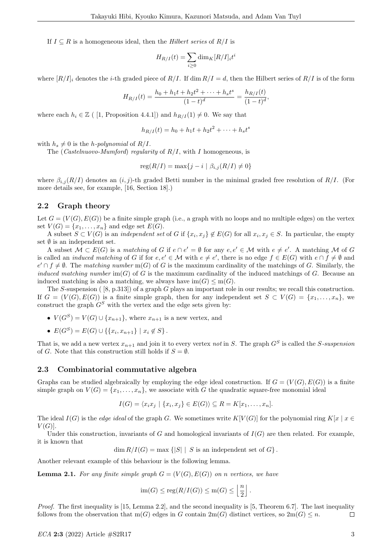If  $I \subseteq R$  is a homogeneous ideal, then the Hilbert series of  $R/I$  is

$$
H_{R/I}(t) = \sum_{i \ge 0} \dim_K [R/I]_i t^i
$$

where  $[R/I]_i$  denotes the *i*-th graded piece of  $R/I$ . If dim  $R/I = d$ , then the Hilbert series of  $R/I$  is of the form

$$
H_{R/I}(t) = \frac{h_0 + h_1 t + h_2 t^2 + \dots + h_s t^s}{(1-t)^d} = \frac{h_{R/I}(t)}{(1-t)^d},
$$

where each  $h_i \in \mathbb{Z}$  ( [1, Proposition 4.4.1]) and  $h_{R/I}(1) \neq 0$ . We say that

$$
h_{R/I}(t) = h_0 + h_1 t + h_2 t^2 + \dots + h_s t^s
$$

with  $h_s \neq 0$  is the *h-polynomial* of  $R/I$ .

The (*Castelnuovo-Mumford*) regularity of  $R/I$ , with I homogeneous, is

$$
reg(R/I) = max\{j - i \mid \beta_{i,j}(R/I) \neq 0\}
$$

where  $\beta_{i,j}(R/I)$  denotes an  $(i, j)$ -th graded Betti number in the minimal graded free resolution of  $R/I$ . (For more details see, for example, [16, Section 18].)

#### 2.2 Graph theory

Let  $G = (V(G), E(G))$  be a finite simple graph (i.e., a graph with no loops and no multiple edges) on the vertex set  $V(G) = \{x_1, \ldots, x_n\}$  and edge set  $E(G)$ .

A subset  $S \subset V(G)$  is an *independent set* of G if  $\{x_i, x_j\} \notin E(G)$  for all  $x_i, x_j \in S$ . In particular, the empty set  $\emptyset$  is an independent set.

A subset  $\mathcal{M} \subset E(G)$  is a matching of G if  $e \cap e' = \emptyset$  for any  $e, e' \in \mathcal{M}$  with  $e \neq e'$ . A matching M of G is called an *induced matching* of G if for  $e, e' \in \mathcal{M}$  with  $e \neq e'$ , there is no edge  $f \in E(G)$  with  $e \cap f \neq \emptyset$  and  $e' \cap f \neq \emptyset$ . The matching number m(G) of G is the maximum cardinality of the matchings of G. Similarly, the induced matching number  $\text{im}(G)$  of G is the maximum cardinality of the induced matchings of G. Because an induced matching is also a matching, we always have  $\text{im}(G) \leq \text{m}(G)$ .

The S-suspension  $(8, p.313)$  of a graph G plays an important role in our results; we recall this construction. If  $G = (V(G), E(G))$  is a finite simple graph, then for any independent set  $S \subset V(G) = \{x_1, \ldots, x_n\}$ , we construct the graph  $G<sup>S</sup>$  with the vertex and the edge sets given by:

- $V(G^S) = V(G) \cup \{x_{n+1}\}\text{, where } x_{n+1} \text{ is a new vertex, and}$
- $E(G^S) = E(G) \cup \{ \{x_i, x_{n+1}\} \mid x_i \notin S \}.$

That is, we add a new vertex  $x_{n+1}$  and join it to every vertex not in S. The graph  $G^S$  is called the S-suspension of G. Note that this construction still holds if  $S = \emptyset$ .

#### 2.3 Combinatorial commutative algebra

Graphs can be studied algebraically by employing the edge ideal construction. If  $G = (V(G), E(G))$  is a finite simple graph on  $V(G) = \{x_1, \ldots, x_n\}$ , we associate with G the quadratic square-free monomial ideal

$$
I(G) = \langle x_i x_j \mid \{x_i, x_j\} \in E(G) \rangle \subseteq R = K[x_1, \dots, x_n].
$$

The ideal  $I(G)$  is the *edge ideal* of the graph G. We sometimes write  $K[V(G)]$  for the polynomial ring  $K[x | x \in$  $V(G)$ .

Under this construction, invariants of G and homological invariants of  $I(G)$  are then related. For example, it is known that

 $\dim R/I(G) = \max \{|S| | S \text{ is an independent set of } G\}.$ 

Another relevant example of this behaviour is the following lemma.

**Lemma 2.1.** For any finite simple graph  $G = (V(G), E(G))$  on n vertices, we have

$$
im(G) \leq reg(R/I(G)) \leq m(G) \leq \left\lfloor \frac{n}{2} \right\rfloor.
$$

Proof. The first inequality is [15, Lemma 2.2], and the second inequality is [5, Theorem 6.7]. The last inequality follows from the observation that  $m(G)$  edges in G contain  $2m(G)$  distinct vertices, so  $2m(G) \leq n$ .  $\Box$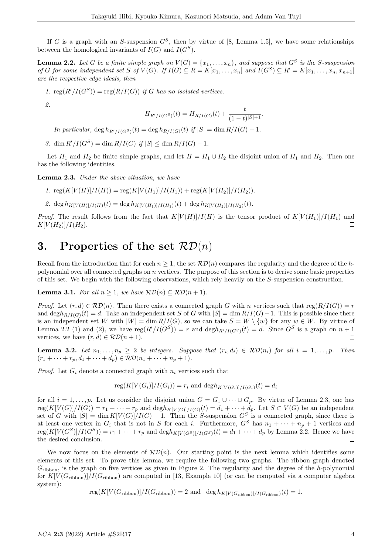If G is a graph with an S-suspension  $G<sup>S</sup>$ , then by virtue of [8, Lemma 1.5], we have some relationships between the homological invariants of  $I(G)$  and  $I(G^S)$ .

**Lemma 2.2.** Let G be a finite simple graph on  $V(G) = \{x_1, \ldots, x_n\}$ , and suppose that  $G^S$  is the S-suspension of G for some independent set S of  $V(G)$ . If  $I(G) \subseteq R = K[x_1, \ldots, x_n]$  and  $I(G^S) \subseteq R' = K[x_1, \ldots, x_n, x_{n+1}]$ are the respective edge ideals, then

1.  $\text{reg}(R'/I(G^S)) = \text{reg}(R/I(G))$  if G has no isolated vertices.

2.

$$
H_{R'/I(G^S)}(t) = H_{R/I(G)}(t) + \frac{t}{(1-t)^{|S|+1}}.
$$

In particular,  $\deg h_{R'/I(G^S)}(t) = \deg h_{R/I(G)}(t)$  if  $|S| = \dim R/I(G) - 1$ .

3. dim  $R'/I(G^S) = \dim R/I(G)$  if  $|S| \leq \dim R/I(G) - 1$ .

Let  $H_1$  and  $H_2$  be finite simple graphs, and let  $H = H_1 \cup H_2$  the disjoint union of  $H_1$  and  $H_2$ . Then one has the following identities.

Lemma 2.3. Under the above situation, we have

- 1.  $\text{reg}(K[V(H)]/I(H)) = \text{reg}(K[V(H_1)]/I(H_1)) + \text{reg}(K[V(H_2)]/I(H_2)).$
- 2. deg  $h_{K[V(H)]/I(H)}(t) = \deg h_{K[V(H_1)]/I(H_1)}(t) + \deg h_{K[V(H_2)]/I(H_2)}(t).$

*Proof.* The result follows from the fact that  $K[V(H)]/I(H)$  is the tensor product of  $K[V(H_1)]/I(H_1)$  and  $\Box$  $K[V(H_2)]/I(H_2).$ 

### 3. Properties of the set  $\mathcal{RD}(n)$

Recall from the introduction that for each  $n > 1$ , the set  $\mathcal{RD}(n)$  compares the regularity and the degree of the hpolynomial over all connected graphs on  $n$  vertices. The purpose of this section is to derive some basic properties of this set. We begin with the following observations, which rely heavily on the S-suspension construction.

**Lemma 3.1.** For all  $n \geq 1$ , we have  $\mathcal{RD}(n) \subseteq \mathcal{RD}(n+1)$ .

*Proof.* Let  $(r, d) \in \mathcal{RD}(n)$ . Then there exists a connected graph G with n vertices such that reg $(R/I(G)) = r$ and deg $h_{R/I(G)}(t) = d$ . Take an independent set S of G with  $|S| = \dim R/I(G) - 1$ . This is possible since there is an independent set W with  $|W| = \dim R/I(G)$ , so we can take  $S = W \setminus \{w\}$  for any  $w \in W$ . By virtue of Lemma 2.2 (1) and (2), we have  $reg(R'/I(G^S)) = r$  and  $degh_{R'/I(G^S)}(t) = d$ . Since  $G^S$  is a graph on  $n+1$ vertices, we have  $(r, d) \in \mathcal{RD}(n + 1)$ .  $\Box$ 

**Lemma 3.2.** Let  $n_1, ..., n_p \geq 2$  be integers. Suppose that  $(r_i, d_i) \in \mathcal{RD}(n_i)$  for all  $i = 1, ..., p$ . Then  $(r_1 + \cdots + r_p, d_1 + \cdots + d_p) \in \mathcal{RD}(n_1 + \cdots + n_p + 1).$ 

*Proof.* Let  $G_i$  denote a connected graph with  $n_i$  vertices such that

$$
reg(K[V(G_i)]/I(G_i)) = r_i
$$
 and  $degh_{K[V(G_i)]/I(G_i)}(t) = d_i$ 

for all  $i = 1, \ldots, p$ . Let us consider the disjoint union  $G = G_1 \cup \cdots \cup G_p$ . By virtue of Lemma 2.3, one has  $reg(K[V(G)]/I(G)) = r_1 + \cdots + r_p$  and  $degh_{K[V(G)]/I(G)}(t) = d_1 + \cdots + d_p$ . Let  $S \subset V(G)$  be an independent set of G with  $|S| = \dim K[V(G)]/I(G) - 1$ . Then the S-suspension  $G^S$  is a connected graph, since there is at least one vertex in  $G_i$  that is not in S for each i. Furthermore,  $G^S$  has  $n_1 + \cdots + n_p + 1$  vertices and  $\text{reg}(K[V(G^S)]/I(G^S)) = r_1 + \cdots + r_p$  and  $\text{deg}h_{K[V(G^S)]/I(G^S)}(t) = d_1 + \cdots + d_p$  by Lemma 2.2. Hence we have the desired conclusion.  $\Box$ 

We now focus on the elements of  $\mathcal{RD}(n)$ . Our starting point is the next lemma which identifies some elements of this set. To prove this lemma, we require the following two graphs. The ribbon graph denoted  $G_{\rm ribbon}$ , is the graph on five vertices as given in Figure 2. The regularity and the degree of the h-polynomial for  $K[V(G_{\text{ribbon}})]/I(G_{\text{ribbon}})$  are computed in [13, Example 10] (or can be computed via a computer algebra system):

 $\text{reg}(K[V(G_{\text{ribbon}})]/I(G_{\text{ribbon}})) = 2$  and  $\deg h_{K[V(G_{\text{ribbon}})]/I(G_{\text{ribbon}})}(t) = 1.$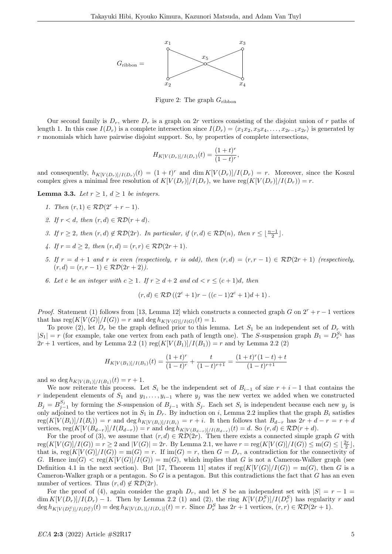

Figure 2: The graph  $G_{\rm ribbon}$ 

Our second family is  $D_r$ , where  $D_r$  is a graph on 2r vertices consisting of the disjoint union of r paths of length 1. In this case  $I(D_r)$  is a complete intersection since  $I(D_r) = \langle x_1x_2, x_3x_4, \ldots, x_{2r-1}x_{2r} \rangle$  is generated by  $r$  monomials which have pairwise disjoint support. So, by properties of complete intersections,

$$
H_{K[V(D_r)]/I(D_r)}(t) = \frac{(1+t)^r}{(1-t)^r},
$$

and consequently,  $h_{K[V(D_r)]/I(D_r)}(t) = (1+t)^r$  and  $\dim K[V(D_r)]/I(D_r) = r$ . Moreover, since the Koszul complex gives a minimal free resolution of  $K[V(D_r)]/I(D_r)$ , we have reg $(K[V(D_r)]/I(D_r)) = r$ .

**Lemma 3.3.** Let  $r > 1$ ,  $d > 1$  be integers.

- 1. Then  $(r, 1) \in \mathcal{RD}(2^r + r 1)$ .
- 2. If  $r < d$ , then  $(r, d) \in \mathcal{RD}(r + d)$ .
- 3. If  $r \geq 2$ , then  $(r, d) \notin \mathcal{RD}(2r)$ . In particular, if  $(r, d) \in \mathcal{RD}(n)$ , then  $r \leq \lfloor \frac{n-1}{2} \rfloor$ .
- 4. If  $r = d \geq 2$ , then  $(r, d) = (r, r) \in \mathcal{RD}(2r + 1)$ .
- 5. If  $r = d + 1$  and r is even (respectively, r is odd), then  $(r, d) = (r, r 1) \in \mathcal{RD}(2r + 1)$  (respectively,  $(r, d) = (r, r - 1) \in \mathcal{RD}(2r + 2)$ .
- 6. Let c be an integer with  $c \geq 1$ . If  $r \geq d+2$  and  $cd < r \leq (c+1)d$ , then

$$
(r, d) \in \mathcal{RD}((2^c + 1)r - ((c - 1)2^c + 1)d + 1).
$$

*Proof.* Statement (1) follows from [13, Lemma 12] which constructs a connected graph G on  $2^r + r - 1$  vertices that has  $reg(K[V(G)]/I(G)) = r$  and  $deg h_{K[V(G)]/I(G)}(t) = 1$ .

To prove (2), let  $D_r$  be the graph defined prior to this lemma. Let  $S_1$  be an independent set of  $D_r$  with  $|S_1| = r$  (for example, take one vertex from each path of length one). The S-suspension graph  $B_1 = D_r^{S_1}$  has  $2r + 1$  vertices, and by Lemma 2.2 (1)  $reg(K[V(B_1)]/I(B_1)) = r$  and by Lemma 2.2 (2)

$$
H_{K[V(B_1)]/I(B_1)}(t) = \frac{(1+t)^r}{(1-t)^r} + \frac{t}{(1-t)^{r+1}} = \frac{(1+t)^r(1-t) + t}{(1-t)^{r+1}}
$$

and so deg  $h_{K[V(B_1)]/I(B_1)}(t) = r + 1$ .

We now reiterate this process. Let  $S_i$  be the independent set of  $B_{i-1}$  of size  $r + i - 1$  that contains the r independent elements of  $S_1$  and  $y_1, \ldots, y_{i-1}$  where  $y_j$  was the new vertex we added when we constructed  $B_j = B_{j-1}^{S_j}$  by forming the S-suspension of  $B_{j-1}$  with  $S_j$ . Each set  $S_i$  is independent because each new  $y_j$  is only adjoined to the vertices not in  $S_1$  in  $D_r$ . By induction on i, Lemma 2.2 implies that the graph  $B_i$  satisfies  $\text{reg}(K[V(B_i)]/I(B_i)) = r$  and  $\text{deg } h_{K[V(B_i)]/I(B_i)} = r + i$ . It then follows that  $B_{d-r}$  has  $2r + d - r = r + d$ vertices,  $\text{reg}(K[V(B_{d-r})]/I(B_{d-r})) = r$  and  $\text{deg } h_{K[V(B_{d-r})]/I(B_{d-r})}(t) = d$ . So  $(r, d) \in \mathcal{RD}(r + d)$ .

For the proof of (3), we assume that  $(r, d) \in R\mathcal{D}(2r)$ . Then there exists a connected simple graph G with  $reg(K[V(G)]/I(G)) = r \geq 2$  and  $|V(G)| = 2r$ . By Lemma 2.1, we have  $r = reg(K[V(G)]/I(G)) \leq m(G) \leq \lfloor \frac{2r}{2} \rfloor$ , that is,  $reg(K[V(G)]/I(G)) = m(G) = r$ . If  $im(G) = r$ , then  $G = D_r$ , a contradiction for the connectivity of G. Hence  $\text{im}(G) < \text{reg}(K[V(G)]/I(G)) = \text{m}(G)$ , which implies that G is not a Cameron-Walker graph (see Definition 4.1 in the next section). But [17, Theorem 11] states if  $reg(K[V(G)]/I(G)) = m(G)$ , then G is a Cameron-Walker graph or a pentagon. So  $G$  is a pentagon. But this contradictions the fact that  $G$  has an even number of vertices. Thus  $(r, d) \notin \mathcal{RD}(2r)$ .

For the proof of (4), again consider the graph  $D_r$ , and let S be an independent set with  $|S| = r - 1$  $\dim K[V(D_r)]/I(D_r) - 1$ . Then by Lemma 2.2 (1) and (2), the ring  $K[V(D_r^S)]/I(D_r^S)$  has regularity r and  $\deg h_{K[V(D_r^S)]/I(D_r^S)}(t) = \deg h_{K[V(D_r)]/I(D_r)]}(t) = r.$  Since  $D_r^S$  has  $2r + 1$  vertices,  $(r, r) \in \mathcal{RD}(2r + 1)$ .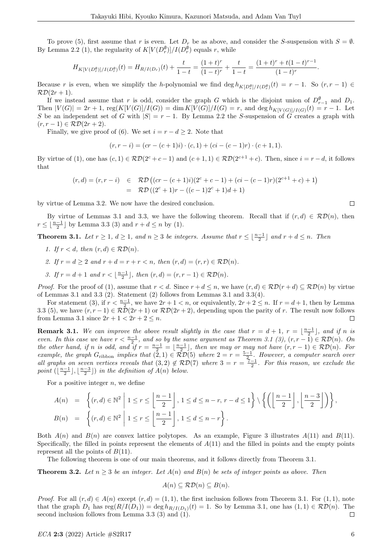To prove (5), first assume that r is even. Let  $D_r$  be as above, and consider the S-suspension with  $S = \emptyset$ . By Lemma 2.2 (1), the regularity of  $K[V(D_r^{\emptyset})]/I(D_r^{\emptyset})$  equals r, while

$$
H_{K[V(D_r^{\emptyset})]/I(D_r^{\emptyset})}(t) = H_{R/I(D_r)}(t) + \frac{t}{1-t} = \frac{(1+t)^r}{(1-t)^r} + \frac{t}{1-t} = \frac{(1+t)^r + t(1-t)^{r-1}}{(1-t)^r}.
$$

Because r is even, when we simplify the h-polynomial we find  $\deg h_{K[D_r^{\emptyset}]/I(D_r^{\emptyset})}(t) = r - 1$ . So  $(r, r - 1) \in$  $\mathcal{RD}(2r+1)$ .

If we instead assume that r is odd, consider the graph G which is the disjoint union of  $D_{r-1}^{\emptyset}$  and  $D_1$ . Then  $|V(G)| = 2r + 1$ ,  $reg(K[V(G)]/I(G)) = dim K[V(G)]/I(G) = r$ , and  $deg h_{K[V(G)]/I(G)}(t) = r - 1$ . Let S be an independent set of G with  $|S| = r - 1$ . By Lemma 2.2 the S-suspension of G creates a graph with  $(r, r - 1) \in \mathcal{RD}(2r + 2).$ 

Finally, we give proof of (6). We set  $i = r - d \geq 2$ . Note that

$$
(r, r - i) = (cr - (c + 1)i) \cdot (c, 1) + (ci - (c - 1)r) \cdot (c + 1, 1).
$$

By virtue of (1), one has  $(c, 1) \in \mathcal{RD}(2^c + c - 1)$  and  $(c + 1, 1) \in \mathcal{RD}(2^{c+1} + c)$ . Then, since  $i = r - d$ , it follows that

$$
(r,d) = (r,r-i) \in \mathcal{RD}((cr - (c+1)i)(2^{c} + c - 1) + (ci - (c-1)r)(2^{c+1} + c) + 1)
$$
  
=  $\mathcal{RD}((2^{c} + 1)r - ((c-1)2^{c} + 1)d + 1)$ 

by virtue of Lemma 3.2. We now have the desired conclusion.

By virtue of Lemmas 3.1 and 3.3, we have the following theorem. Recall that if  $(r, d) \in \mathcal{RD}(n)$ , then  $r \leq \lfloor \frac{n-1}{2} \rfloor$  by Lemma 3.3 (3) and  $r + d \leq n$  by (1).

**Theorem 3.1.** Let  $r \geq 1$ ,  $d \geq 1$ , and  $n \geq 3$  be integers. Assume that  $r \leq \lfloor \frac{n-1}{2} \rfloor$  and  $r + d \leq n$ . Then

- 1. If  $r < d$ , then  $(r, d) \in \mathcal{RD}(n)$ .
- 2. If  $r = d \geq 2$  and  $r + d = r + r < n$ , then  $(r, d) = (r, r) \in \mathcal{RD}(n)$ .
- 3. If  $r = d + 1$  and  $r < \lfloor \frac{n-1}{2} \rfloor$ , then  $(r, d) = (r, r 1) \in \mathcal{RD}(n)$ .

*Proof.* For the proof of (1), assume that  $r < d$ . Since  $r + d \leq n$ , we have  $(r, d) \in \mathcal{RD}(r + d) \subseteq \mathcal{RD}(n)$  by virtue of Lemmas 3.1 and 3.3 (2). Statement (2) follows from Lemmas 3.1 and 3.3(4).

For statement (3), if  $r < \frac{n-1}{2}$ , we have  $2r + 1 < n$ , or equivalently,  $2r + 2 \le n$ . If  $r = d + 1$ , then by Lemma 3.3 (5), we have  $(r, r - 1) \in \mathcal{RD}(2r + 1)$  or  $\mathcal{RD}(2r + 2)$ , depending upon the parity of r. The result now follows from Lemma 3.1 since  $2r + 1 < 2r + 2 \leq n$ .  $\Box$ 

**Remark 3.1.** We can improve the above result slightly in the case that  $r = d + 1$ ,  $r = \lfloor \frac{n-1}{2} \rfloor$ , and if n is **EVENTAL 3.1.** We can improve the above result sughtly in the case that  $r = a + 1$ ,  $r = \lfloor 2 \rfloor$ , and if n is<br>even. In this case we have  $r < \frac{n-1}{2}$ , and so by the same argument as Theorem 3.1 (3),  $(r, r - 1) \in \mathcal{RD}(n)$ . On the other hand, if n is odd, and if  $r = \frac{n-1}{2} = \lfloor \frac{n-1}{2} \rfloor$ , then we may or may not have  $(r, r - 1) \in \mathcal{RD}(n)$ . For example, the graph  $G_{\text{ribbon}}$  implies that  $(2,1) \in \widetilde{RD}(5)$  where  $2 = r = \frac{5-1}{2}$ . However, a computer search over all graphs on seven vertices reveals that  $(3,2) \notin \mathcal{RD}(7)$  where  $3 = r = \frac{7-1}{2}$ . For this reason, we exclude the point  $(\lfloor \frac{n-1}{2} \rfloor, \lfloor \frac{n-3}{2} \rfloor)$  in the definition of  $A(n)$  below.

For a positive integer  $n$ , we define

$$
A(n) = \left\{ (r,d) \in \mathbb{N}^2 \mid 1 \le r \le \left\lfloor \frac{n-1}{2} \right\rfloor, 1 \le d \le n-r, r-d \le 1 \right\} \setminus \left\{ \left( \left\lfloor \frac{n-1}{2} \right\rfloor, \left\lfloor \frac{n-3}{2} \right\rfloor \right) \right\},
$$
  
\n
$$
B(n) = \left\{ (r,d) \in \mathbb{N}^2 \mid 1 \le r \le \left\lfloor \frac{n-1}{2} \right\rfloor, 1 \le d \le n-r \right\}.
$$

Both  $A(n)$  and  $B(n)$  are convex lattice polytopes. As an example, Figure 3 illustrates  $A(11)$  and  $B(11)$ . Specifically, the filled in points represent the elements of  $A(11)$  and the filled in points and the empty points represent all the points of  $B(11)$ .

The following theorem is one of our main theorems, and it follows directly from Theorem 3.1.

**Theorem 3.2.** Let  $n \geq 3$  be an integer. Let  $A(n)$  and  $B(n)$  be sets of integer points as above. Then

$$
A(n) \subseteq \mathcal{RD}(n) \subseteq B(n).
$$

*Proof.* For all  $(r, d) \in A(n)$  except  $(r, d) = (1, 1)$ , the first inclusion follows from Theorem 3.1. For  $(1, 1)$ , note that the graph  $D_1$  has  $reg(R/I(D_1)) = deg h_{R/I(D_1)}(t) = 1$ . So by Lemma 3.1, one has  $(1,1) \in \mathcal{RD}(n)$ . The second inclusion follows from Lemma 3.3 (3) and (1).  $\Box$ 

 $\Box$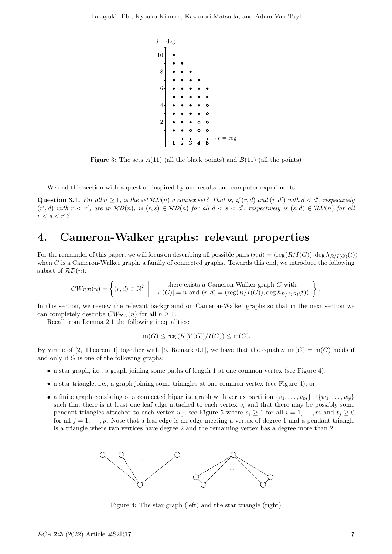

Figure 3: The sets  $A(11)$  (all the black points) and  $B(11)$  (all the points)

We end this section with a question inspired by our results and computer experiments.

**Question 3.1.** For all  $n \geq 1$ , is the set  $\mathcal{RD}(n)$  a convex set? That is, if  $(r, d)$  and  $(r, d')$  with  $d < d'$ , respectively  $(r', d)$  with  $r < r'$ , are in  $\mathcal{RD}(n)$ , is  $(r, s) \in \mathcal{RD}(n)$  for all  $d < s < d'$ , respectively is  $(s, d) \in \mathcal{RD}(n)$  for all  $r < s < r'$ ?

## 4. Cameron-Walker graphs: relevant properties

For the remainder of this paper, we will focus on describing all possible pairs  $(r, d) = (reg(R/I(G)), deg h_{R/I(G)}(t))$ when G is a Cameron-Walker graph, a family of connected graphs. Towards this end, we introduce the following subset of  $\mathcal{RD}(n)$ :

$$
CW_{\mathcal{RD}}(n) = \left\{ (r, d) \in \mathbb{N}^2 \: \left| \: \begin{array}{c} \text{there exists a Cameron-Walker graph } G \text{ with } \\ |V(G)| = n \text{ and } (r, d) = (\text{reg}(R/I(G)), \text{deg } h_{R/I(G)}(t)) \end{array} \right\}
$$

In this section, we review the relevant background on Cameron-Walker graphs so that in the next section we can completely describe  $CW_{\mathcal{RD}}(n)$  for all  $n \geq 1$ .

Recall from Lemma 2.1 the following inequalities:

$$
\operatorname{im}(G) \le \operatorname{reg}(K[V(G)]/I(G)) \le \operatorname{m}(G).
$$

By virtue of [2, Theorem 1] together with [6, Remark 0.1], we have that the equality  $\text{im}(G) = \text{m}(G)$  holds if and only if  $G$  is one of the following graphs:

- $\bullet$  a star graph, i.e., a graph joining some paths of length 1 at one common vertex (see Figure 4);
- a star triangle, i.e., a graph joining some triangles at one common vertex (see Figure 4); or
- a finite graph consisting of a connected bipartite graph with vertex partition  $\{v_1, \ldots, v_m\} \cup \{w_1, \ldots, w_p\}$ such that there is at least one leaf edge attached to each vertex  $v_i$  and that there may be possibly some pendant triangles attached to each vertex  $w_j$ ; see Figure 5 where  $s_i \geq 1$  for all  $i = 1, \ldots, m$  and  $t_j \geq 0$ for all  $j = 1, \ldots, p$ . Note that a leaf edge is an edge meeting a vertex of degree 1 and a pendant triangle is a triangle where two vertices have degree 2 and the remaining vertex has a degree more than 2.



Figure 4: The star graph (left) and the star triangle (right)

.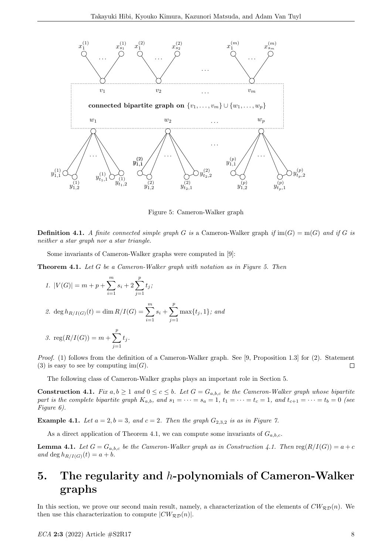

Figure 5: Cameron-Walker graph

**Definition 4.1.** A finite connected simple graph G is a Cameron-Walker graph if  $\text{im}(G) = \text{m}(G)$  and if G is neither a star graph nor a star triangle.

Some invariants of Cameron-Walker graphs were computed in [9]:

Theorem 4.1. Let G be a Cameron-Walker graph with notation as in Figure 5. Then

1. 
$$
|V(G)| = m + p + \sum_{i=1}^{m} s_i + 2 \sum_{j=1}^{p} t_j;
$$

2. deg 
$$
h_{R/I(G)}(t) = \dim R/I(G) = \sum_{i=1}^{m} s_i + \sum_{j=1}^{p} \max\{t_j, 1\}
$$
; and

3. 
$$
reg(R/I(G)) = m + \sum_{j=1}^{p} t_j
$$
.

Proof. (1) follows from the definition of a Cameron-Walker graph. See [9, Proposition 1.3] for (2). Statement (3) is easy to see by computing  $\text{im}(G)$ .  $\Box$ 

The following class of Cameron-Walker graphs plays an important role in Section 5.

**Construction 4.1.** Fix  $a, b \ge 1$  and  $0 \le c \le b$ . Let  $G = G_{a,b,c}$  be the Cameron-Walker graph whose bipartite part is the complete bipartite graph  $K_{a,b}$ , and  $s_1 = \cdots = s_a = 1$ ,  $t_1 = \cdots = t_c = 1$ , and  $t_{c+1} = \cdots = t_b = 0$  (see Figure 6).

**Example 4.1.** Let  $a = 2$ ,  $b = 3$ , and  $c = 2$ . Then the graph  $G_{2,3,2}$  is as in Figure 7.

As a direct application of Theorem 4.1, we can compute some invariants of  $G_{a,b,c}$ .

**Lemma 4.1.** Let  $G = G_{a,b,c}$  be the Cameron-Walker graph as in Construction 4.1. Then reg $(R/I(G)) = a + c$ and deg  $h_{R/I(G)}(t) = a + b$ .

## 5. The regularity and  $h$ -polynomials of Cameron-Walker graphs

In this section, we prove our second main result, namely, a characterization of the elements of  $CW_{\mathcal{RD}}(n)$ . We then use this characterization to compute  $|CW_{\mathcal{RD}}(n)|$ .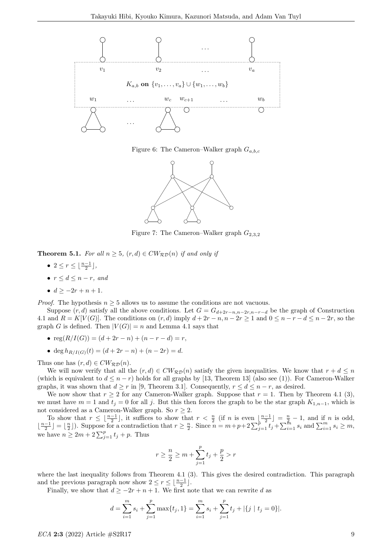

Figure 6: The Cameron–Walker graph  $G_{a,b,c}$ 



Figure 7: The Cameron–Walker graph  $G_{2,3,2}$ 

**Theorem 5.1.** For all  $n \geq 5$ ,  $(r, d) \in CW_{\mathcal{RD}}(n)$  if and only if

- $2 \leq r \leq \lfloor \frac{n-1}{2} \rfloor$ ,
- $r < d < n-r$ , and
- $d > -2r + n + 1$ .

*Proof.* The hypothesis  $n \geq 5$  allows us to assume the conditions are not vacuous.

Suppose  $(r, d)$  satisfy all the above conditions. Let  $G = G_{d+2r-n,n-2r,n-r-d}$  be the graph of Construction 4.1 and  $R = K[V(G)]$ . The conditions on  $(r, d)$  imply  $d + 2r - n$ ,  $n - 2r \ge 1$  and  $0 \le n - r - d \le n - 2r$ , so the graph G is defined. Then  $|V(G)| = n$  and Lemma 4.1 says that

- $reg(R/I(G)) = (d + 2r n) + (n r d) = r$ ,
- deg  $h_{R/I(G)}(t) = (d + 2r n) + (n 2r) = d$ .

Thus one has  $(r, d) \in CW_{\mathcal{RD}}(n)$ .

We will now verify that all the  $(r, d) \in CW_{\mathcal{RD}}(n)$  satisfy the given inequalities. We know that  $r + d \leq n$ (which is equivalent to  $d \leq n-r$ ) holds for all graphs by [13, Theorem 13] (also see (1)). For Cameron-Walker graphs, it was shown that  $d \geq r$  in [9, Theorem 3.1]. Consequently,  $r \leq d \leq n-r$ , as desired.

We now show that  $r \geq 2$  for any Cameron-Walker graph. Suppose that  $r = 1$ . Then by Theorem 4.1 (3), we must have  $m = 1$  and  $t_j = 0$  for all j. But this then forces the graph to be the star graph  $K_{1,n-1}$ , which is not considered as a Cameron-Walker graph. So  $r \geq 2$ .

To show that  $r \leq \lfloor \frac{n-1}{2} \rfloor$ , it suffices to show that  $r < \frac{n}{2}$  (if n is even  $\lfloor \frac{n-1}{2} \rfloor = \frac{n}{2} - 1$ , and if n is odd,  $\lfloor \frac{n-1}{2} \rfloor = \lfloor \frac{n}{2} \rfloor$ ). Suppose for a contradiction that  $r \geq \frac{n}{2}$ . Since  $n = m + p + 2\sum_{j=1}^{\frac{n}{p}} t_j + \sum_{i=1}^{\frac{n}{2}} s_i$  and  $\sum_{i=1}^m s_i \geq m$ , we have  $n \geq 2m + 2\sum_{j=1}^{p} t_j + p$ . Thus

$$
r \ge \frac{n}{2} \ge m + \sum_{j=1}^{p} t_j + \frac{p}{2} > r
$$

where the last inequality follows from Theorem 4.1 (3). This gives the desired contradiction. This paragraph and the previous paragraph now show  $2 \le r \le \lfloor \frac{n-1}{2} \rfloor$ .

Finally, we show that  $d \geq -2r + n + 1$ . We first note that we can rewrite d as

$$
d = \sum_{i=1}^{m} s_i + \sum_{j=1}^{p} \max\{t_j, 1\} = \sum_{i=1}^{m} s_i + \sum_{j=1}^{p} t_j + |\{j \mid t_j = 0\}|.
$$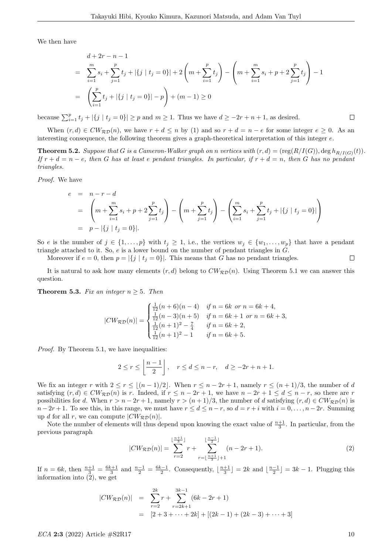We then have

$$
d + 2r - n - 1
$$
  
= 
$$
\sum_{i=1}^{m} s_i + \sum_{j=1}^{p} t_j + |\{j \mid t_j = 0\}| + 2\left(m + \sum_{i=1}^{p} t_j\right) - \left(m + \sum_{i=1}^{m} s_i + p + 2\sum_{j=1}^{p} t_j\right) - 1
$$
  
= 
$$
\left(\sum_{i=1}^{p} t_j + |\{j \mid t_j = 0\}| - p\right) + (m - 1) \ge 0
$$

because  $\sum_{i=1}^{p} t_j + |\{j \mid t_j = 0\}| \geq p$  and  $m \geq 1$ . Thus we have  $d \geq -2r + n + 1$ , as desired.

When  $(r, d) \in CW_{\mathcal{RD}}(n)$ , we have  $r + d \leq n$  by (1) and so  $r + d = n - e$  for some integer  $e \geq 0$ . As an interesting consequence, the following theorem gives a graph-theoretical interpretation of this integer e.

**Theorem 5.2.** Suppose that G is a Cameron-Walker graph on n vertices with  $(r, d) = (reg(R/I(G)), deg h_{R/I(G)}(t)).$ If  $r + d = n - e$ , then G has at least e pendant triangles. In particular, if  $r + d = n$ , then G has no pendant triangles.

Proof. We have

$$
e = n - r - d
$$
  
=  $\left( m + \sum_{i=1}^{m} s_i + p + 2 \sum_{j=1}^{p} t_j \right) - \left( m + \sum_{j=1}^{p} t_j \right) - \left( \sum_{i=1}^{m} s_i + \sum_{j=1}^{p} t_j + |\{j \mid t_j = 0\}| \right)$   
=  $p - |\{j \mid t_j = 0\}|.$ 

So e is the number of  $j \in \{1, ..., p\}$  with  $t_j \geq 1$ , i.e., the vertices  $w_j \in \{w_1, ..., w_p\}$  that have a pendant triangle attached to it. So,  $e$  is a lower bound on the number of pendant triangles in  $\tilde{G}$ .

Moreover if  $e = 0$ , then  $p = |\{j | t_j = 0\}|$ . This means that G has no pendant triangles.

It is natural to ask how many elements  $(r, d)$  belong to  $CW_{RD}(n)$ . Using Theorem 5.1 we can answer this question.

**Theorem 5.3.** Fix an integer  $n \geq 5$ . Then

$$
|CW_{\mathcal{RD}}(n)| = \begin{cases} \frac{1}{12}(n+6)(n-4) & \text{if } n = 6k \text{ or } n = 6k+4, \\ \frac{1}{12}(n-3)(n+5) & \text{if } n = 6k+1 \text{ or } n = 6k+3, \\ \frac{1}{12}(n+1)^2 - \frac{7}{4} & \text{if } n = 6k+2, \\ \frac{1}{12}(n+1)^2 - 1 & \text{if } n = 6k+5. \end{cases}
$$

Proof. By Theorem 5.1, we have inequalities:

$$
2 \le r \le \left\lfloor \frac{n-1}{2} \right\rfloor, \quad r \le d \le n-r, \quad d \ge -2r+n+1.
$$

We fix an integer r with  $2 \le r \le (n - 1)/2$ . When  $r \le n - 2r + 1$ , namely  $r \le (n + 1)/3$ , the number of d satisfying  $(r, d) \in CW_{\mathcal{RD}}(n)$  is r. Indeed, if  $r \leq n - 2r + 1$ , we have  $n - 2r + 1 \leq d \leq n - r$ , so there are r possibilities for d. When  $r > n - 2r + 1$ , namely  $r > (n + 1)/3$ , the number of d satisfying  $(r, d) \in CW_{\mathcal{RD}}(n)$  is  $n-2r+1$ . To see this, in this range, we must have  $r \leq d \leq n-r$ , so  $d = r+i$  with  $i = 0, \ldots, n-2r$ . Summing up d for all r, we can compute  $|CW_{\mathcal{RD}}(n)|$ .

Note the number of elements will thus depend upon knowing the exact value of  $\frac{n+1}{3}$ . In particular, from the previous paragraph

$$
|CW_{\mathcal{RD}}(n)| = \sum_{r=2}^{\lfloor \frac{n+1}{3} \rfloor} r + \sum_{r=\lfloor \frac{n+1}{3} \rfloor+1}^{\lfloor \frac{n-1}{2} \rfloor} (n-2r+1).
$$
 (2)

If  $n = 6k$ , then  $\frac{n+1}{3} = \frac{6k+1}{3}$  and  $\frac{n-1}{2} = \frac{6k-1}{2}$ . Consequently,  $\lfloor \frac{n+1}{3} \rfloor = 2k$  and  $\lfloor \frac{n-1}{2} \rfloor = 3k - 1$ . Plugging this information into (2), we get

$$
|CW_{\mathcal{RD}}(n)| = \sum_{r=2}^{2k} r + \sum_{r=2k+1}^{3k-1} (6k - 2r + 1)
$$
  
=  $[2 + 3 + \dots + 2k] + [(2k - 1) + (2k - 3) + \dots + 3]$ 

 $\Box$ 

 $\Box$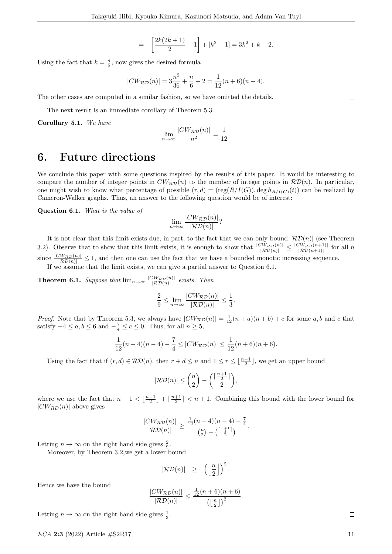$$
= \left[\frac{2k(2k+1)}{2} - 1\right] + [k^2 - 1] = 3k^2 + k - 2.
$$

Using the fact that  $k = \frac{n}{6}$ , now gives the desired formula

$$
|CW_{\mathcal{RD}}(n)| = 3\frac{n^2}{36} + \frac{n}{6} - 2 = \frac{1}{12}(n+6)(n-4).
$$

The other cases are computed in a similar fashion, so we have omitted the details.

The next result is an immediate corollary of Theorem 5.3.

Corollary 5.1. We have

$$
\lim_{n \to \infty} \frac{|CW_{\mathcal{RD}}(n)|}{n^2} = \frac{1}{12}.
$$

### 6. Future directions

We conclude this paper with some questions inspired by the results of this paper. It would be interesting to compare the number of integer points in  $CW_{\mathcal{RD}}(n)$  to the number of integer points in  $\mathcal{RD}(n)$ . In particular, one might wish to know what percentage of possible  $(r, d) = (reg(R/I(G)), deg h_{R/I(G)}(t))$  can be realized by Cameron-Walker graphs. Thus, an answer to the following question would be of interest:

Question 6.1. What is the value of

$$
\lim_{n \to \infty} \frac{|CW_{\mathcal{RD}}(n)|}{|\mathcal{RD}(n)|}?
$$

It is not clear that this limit exists due, in part, to the fact that we can only bound  $|\mathcal{RD}(n)|$  (see Theorem 3.2). Observe that to show that this limit exists, it is enough to show that  $\frac{|CW_{\mathcal{RD}(n)}|}{|\mathcal{RD}(n)|} \leq \frac{|CW_{\mathcal{RD}}(n+1)|}{|\mathcal{RD}(n+1)|}$  for all n since  $\frac{|CW_{\mathcal{RD}}(n)|}{|\mathcal{RD}(n)|} \leq 1$ , and then one can use the fact that we have a bounded monotic increasing sequence.

If we assume that the limit exists, we can give a partial answer to Question 6.1.

**Theorem 6.1.** Suppose that  $\lim_{n\to\infty} \frac{|CW_{\mathcal{RD}}(n)|}{|\mathcal{RD}(n)|}$  exists. Then

$$
\frac{2}{9} \le \lim_{n \to \infty} \frac{|CW_{\mathcal{RD}}(n)|}{|\mathcal{RD}(n)|} \le \frac{1}{3}.
$$

*Proof.* Note that by Theorem 5.3, we always have  $|CW_{\mathcal{RD}}(n)| = \frac{1}{12}(n+a)(n+b) + c$  for some a, b and c that satisfy  $-4 \le a, b \le 6$  and  $-\frac{7}{4} \le c \le 0$ . Thus, for all  $n \ge 5$ ,

$$
\frac{1}{12}(n-4)(n-4) - \frac{7}{4} \le |CW_{\mathcal{RD}}(n)| \le \frac{1}{12}(n+6)(n+6).
$$

Using the fact that if  $(r, d) \in \mathcal{RD}(n)$ , then  $r + d \leq n$  and  $1 \leq r \leq \lfloor \frac{n-1}{2} \rfloor$ , we get an upper bound

$$
|\mathcal{RD}(n)| \leq \binom{n}{2} - \binom{\lceil \frac{n+1}{2} \rceil}{2},
$$

where we use the fact that  $n-1 < \lfloor \frac{n-1}{2} \rfloor + \lceil \frac{n+1}{2} \rceil < n+1$ . Combining this bound with the lower bound for  $|CW_{RD}(n)|$  above gives

$$
\frac{|CW_{\mathcal{RD}}(n)|}{|\mathcal{RD}(n)|} \geq \frac{\frac{1}{12}(n-4)(n-4) - \frac{7}{4}}{\binom{n}{2} - \binom{\lceil \frac{n+1}{2} \rceil}{2}}.
$$

Letting  $n \to \infty$  on the right hand side gives  $\frac{2}{9}$ .

Moreover, by Theorem 3.2,we get a lower bound

$$
|\mathcal{RD}(n)| \geq \left( \left\lfloor \frac{n}{2} \right\rfloor \right)^2.
$$

Hence we have the bound

$$
\frac{|CW_{\mathcal{RD}}(n)|}{|\mathcal{RD}(n)|} \le \frac{\frac{1}{12}(n+6)(n+6)}{\left(\left\lfloor \frac{n}{2} \right\rfloor\right)^2}
$$

.

Letting  $n \to \infty$  on the right hand side gives  $\frac{1}{3}$ .

 $ECA$  2:3 (2022) Article  $\#\text{S2R17}$  11

 $\Box$ 

 $\Box$